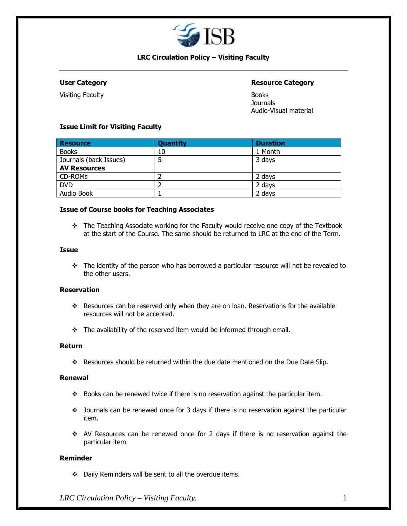

## **LRC Circulation Policy – Visiting Faculty**

Visiting Faculty **Books** 

## **User Category Resource Category**

**Journals** Audio-Visual material

### **Issue Limit for Visiting Faculty**

| <b>Resource</b>        | <b>Quantity</b> | <b>Duration</b> |
|------------------------|-----------------|-----------------|
| <b>Books</b>           | 10              | 1 Month         |
| Journals (back Issues) |                 | 3 days          |
| <b>AV Resources</b>    |                 |                 |
| CD-ROMs                |                 | 2 days          |
| <b>DVD</b>             |                 | 2 days          |
| Audio Book             |                 | 2 days          |

#### **Issue of Course books for Teaching Associates**

❖ The Teaching Associate working for the Faculty would receive one copy of the Textbook at the start of the Course. The same should be returned to LRC at the end of the Term.

#### **Issue**

❖ The identity of the person who has borrowed a particular resource will not be revealed to the other users.

## **Reservation**

- ❖ Resources can be reserved only when they are on loan. Reservations for the available resources will not be accepted.
- ❖ The availability of the reserved item would be informed through email.

#### **Return**

❖ Resources should be returned within the due date mentioned on the Due Date Slip.

#### **Renewal**

- ❖ Books can be renewed twice if there is no reservation against the particular item.
- ❖ Journals can be renewed once for 3 days if there is no reservation against the particular item.
- ❖ AV Resources can be renewed once for 2 days if there is no reservation against the particular item.

## **Reminder**

❖ Daily Reminders will be sent to all the overdue items.

*LRC Circulation Policy – Visiting Faculty.* 1